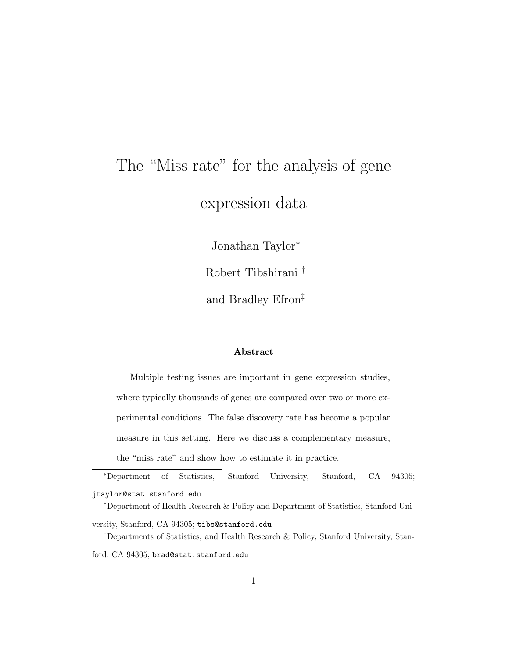# The "Miss rate" for the analysis of gene expression data

Jonathan Taylor<sup>∗</sup>

Robert Tibshirani †

and Bradley Efron‡

#### Abstract

Multiple testing issues are important in gene expression studies, where typically thousands of genes are compared over two or more experimental conditions. The false discovery rate has become a popular measure in this setting. Here we discuss a complementary measure, the "miss rate" and show how to estimate it in practice.

<sup>∗</sup>Department of Statistics, Stanford University, Stanford, CA 94305; jtaylor@stat.stanford.edu

†Department of Health Research & Policy and Department of Statistics, Stanford University, Stanford, CA 94305; tibs@stanford.edu

‡Departments of Statistics, and Health Research & Policy, Stanford University, Stan-

ford, CA 94305; brad@stat.stanford.edu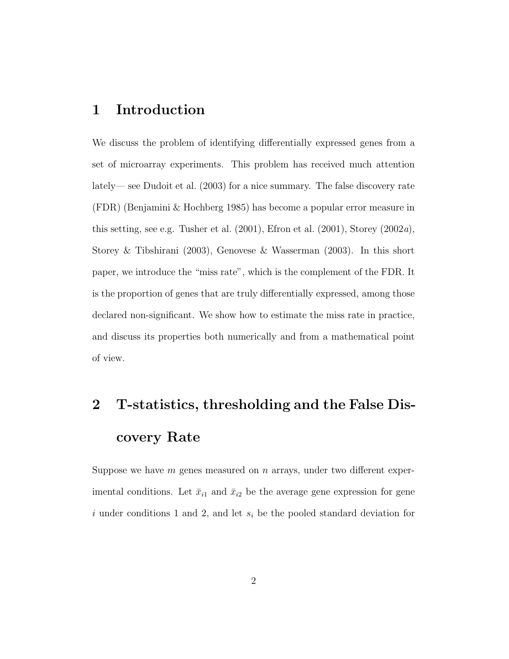#### 1 Introduction

We discuss the problem of identifying differentially expressed genes from a set of microarray experiments. This problem has received much attention lately— see Dudoit et al. (2003) for a nice summary. The false discovery rate (FDR) (Benjamini & Hochberg 1985) has become a popular error measure in this setting, see e.g. Tusher et al.  $(2001)$ , Efron et al.  $(2001)$ , Storey  $(2002a)$ , Storey & Tibshirani (2003), Genovese & Wasserman (2003). In this short paper, we introduce the "miss rate", which is the complement of the FDR. It is the proportion of genes that are truly differentially expressed, among those declared non-significant. We show how to estimate the miss rate in practice, and discuss its properties both numerically and from a mathematical point of view.

## 2 T-statistics, thresholding and the False Discovery Rate

Suppose we have  $m$  genes measured on  $n$  arrays, under two different experimental conditions. Let  $\bar{x}_{i1}$  and  $\bar{x}_{i2}$  be the average gene expression for gene i under conditions 1 and 2, and let  $s_i$  be the pooled standard deviation for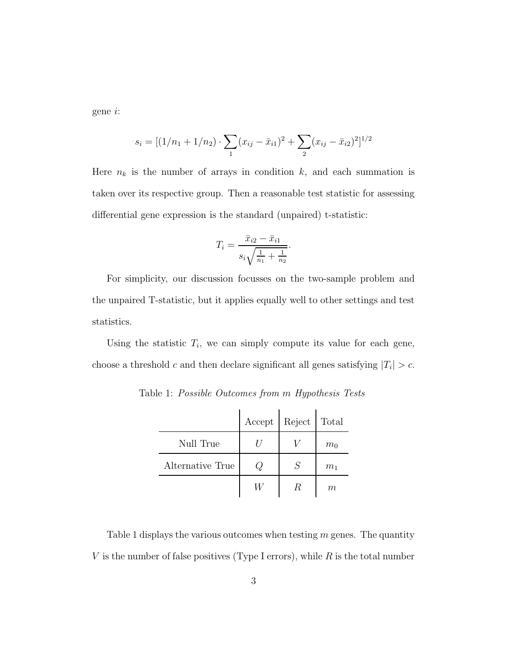gene i:

$$
s_i = [(1/n_1 + 1/n_2) \cdot \sum_1 (x_{ij} - \bar{x}_{i1})^2 + \sum_2 (x_{ij} - \bar{x}_{i2})^2]^{1/2}
$$

Here  $n_k$  is the number of arrays in condition k, and each summation is taken over its respective group. Then a reasonable test statistic for assessing differential gene expression is the standard (unpaired) t-statistic:

$$
T_i = \frac{\bar{x}_{i2} - \bar{x}_{i1}}{s_i \sqrt{\frac{1}{n_1} + \frac{1}{n_2}}}.
$$

For simplicity, our discussion focusses on the two-sample problem and the unpaired T-statistic, but it applies equally well to other settings and test statistics.

Using the statistic  $T_i$ , we can simply compute its value for each gene, choose a threshold c and then declare significant all genes satisfying  $|T_i| > c$ .

|                  | Accept | Reject   Total |       |
|------------------|--------|----------------|-------|
| Null True        |        |                | $m_0$ |
| Alternative True |        | $\mathcal{S}$  | $m_1$ |
|                  |        | R.             | m     |

Table 1: Possible Outcomes from m Hypothesis Tests

Table 1 displays the various outcomes when testing  $m$  genes. The quantity V is the number of false positives (Type I errors), while  $R$  is the total number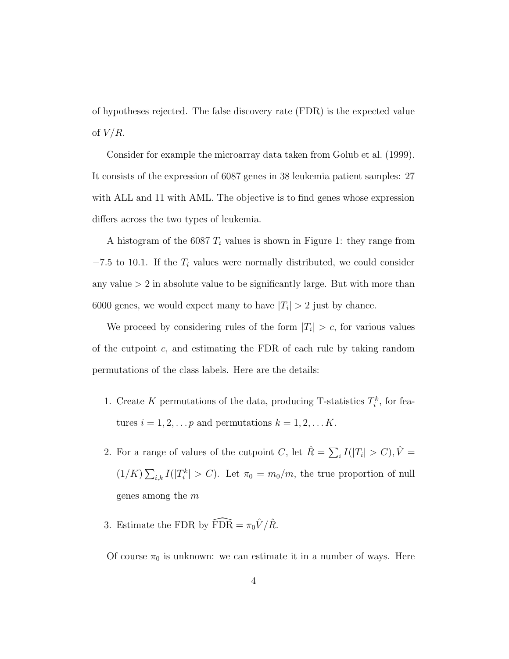of hypotheses rejected. The false discovery rate (FDR) is the expected value of  $V/R$ .

Consider for example the microarray data taken from Golub et al. (1999). It consists of the expression of 6087 genes in 38 leukemia patient samples: 27 with ALL and 11 with AML. The objective is to find genes whose expression differs across the two types of leukemia.

A histogram of the 6087  $T_i$  values is shown in Figure 1: they range from  $-7.5$  to 10.1. If the  $T_i$  values were normally distributed, we could consider any value  $> 2$  in absolute value to be significantly large. But with more than 6000 genes, we would expect many to have  $|T_i| > 2$  just by chance.

We proceed by considering rules of the form  $|T_i| > c$ , for various values of the cutpoint  $c$ , and estimating the FDR of each rule by taking random permutations of the class labels. Here are the details:

- 1. Create K permutations of the data, producing T-statistics  $T_i^k$ , for features  $i = 1, 2, \dots p$  and permutations  $k = 1, 2, \dots K$ .
- 2. For a range of values of the cutpoint C, let  $\hat{R} = \sum_i I(|T_i| > C)$ ,  $\hat{V} =$  $(1/K)\sum_{i,k}I(|T_i^k|>C)$ . Let  $\pi_0=m_0/m$ , the true proportion of null genes among the m
- 3. Estimate the FDR by  $\widehat{\text{FDR}} = \pi_0 \hat{V} / \hat{R}$ .

Of course  $\pi_0$  is unknown: we can estimate it in a number of ways. Here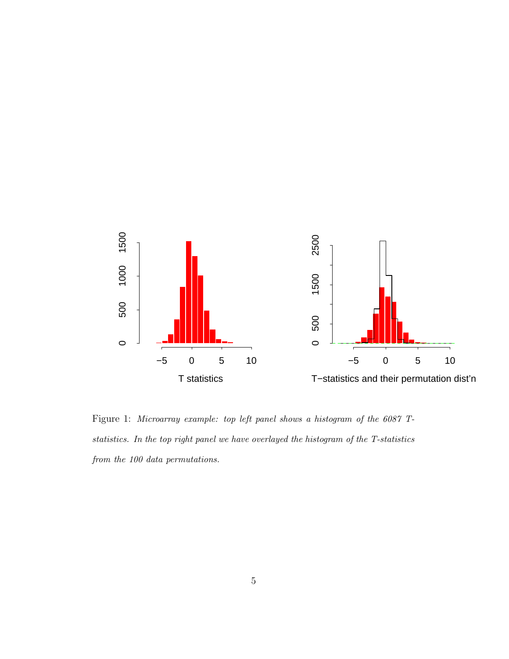

Figure 1: Microarray example: top left panel shows a histogram of the 6087 Tstatistics. In the top right panel we have overlayed the histogram of the T-statistics from the 100 data permutations.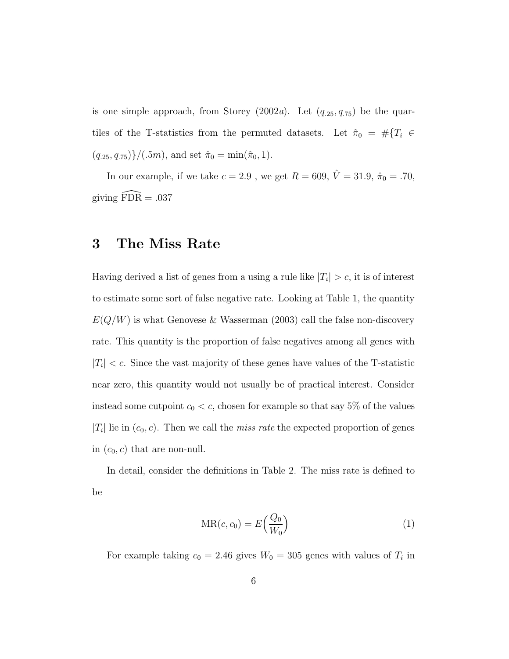is one simple approach, from Storey (2002a). Let  $(q_{.25}, q_{.75})$  be the quartiles of the T-statistics from the permuted datasets. Let  $\hat{\pi}_0 = #\{T_i \in$  $(q_{.25}, q_{.75})\}/(.5m)$ , and set  $\hat{\pi}_0 = \min(\hat{\pi}_0, 1)$ .

In our example, if we take  $c=2.9$  , we get  $R=609,$   $\hat{V}=31.9,$   $\hat{\pi}_0=.70,$ giving  $\widehat{F} \widehat{DR} = .037$ 

### 3 The Miss Rate

Having derived a list of genes from a using a rule like  $|T_i| > c$ , it is of interest to estimate some sort of false negative rate. Looking at Table 1, the quantity  $E(Q/W)$  is what Genovese & Wasserman (2003) call the false non-discovery rate. This quantity is the proportion of false negatives among all genes with  $|T_i| < c$ . Since the vast majority of these genes have values of the T-statistic near zero, this quantity would not usually be of practical interest. Consider instead some cutpoint  $c_0 < c$ , chosen for example so that say 5% of the values  $|T_i|$  lie in  $(c_0, c)$ . Then we call the *miss rate* the expected proportion of genes in  $(c_0, c)$  that are non-null.

In detail, consider the definitions in Table 2. The miss rate is defined to be

$$
MR(c, c_0) = E\left(\frac{Q_0}{W_0}\right) \tag{1}
$$

For example taking  $c_0 = 2.46$  gives  $W_0 = 305$  genes with values of  $T_i$  in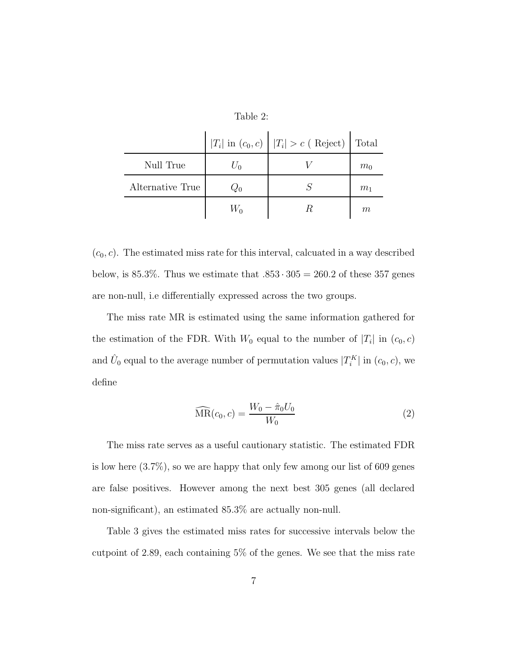Table 2:

|                  | $ T_i $ in $(c_0, c)$ $ T_i  > c$ (Reject) Total |                |
|------------------|--------------------------------------------------|----------------|
| Null True        |                                                  | $m_0$          |
| Alternative True |                                                  | m <sub>1</sub> |
|                  |                                                  | m              |

 $(c_0, c)$ . The estimated miss rate for this interval, calcuated in a way described below, is 85.3%. Thus we estimate that  $.853 \cdot 305 = 260.2$  of these 357 genes are non-null, i.e differentially expressed across the two groups.

The miss rate MR is estimated using the same information gathered for the estimation of the FDR. With  $W_0$  equal to the number of  $|T_i|$  in  $(c_0, c)$ and  $\hat{U}_0$  equal to the average number of permutation values  $|T_i^K|$  in  $(c_0, c)$ , we define

$$
\widehat{\text{MR}}(c_0, c) = \frac{W_0 - \hat{\pi}_0 U_0}{W_0} \tag{2}
$$

The miss rate serves as a useful cautionary statistic. The estimated FDR is low here  $(3.7\%)$ , so we are happy that only few among our list of 609 genes are false positives. However among the next best 305 genes (all declared non-significant), an estimated 85.3% are actually non-null.

Table 3 gives the estimated miss rates for successive intervals below the cutpoint of 2.89, each containing 5% of the genes. We see that the miss rate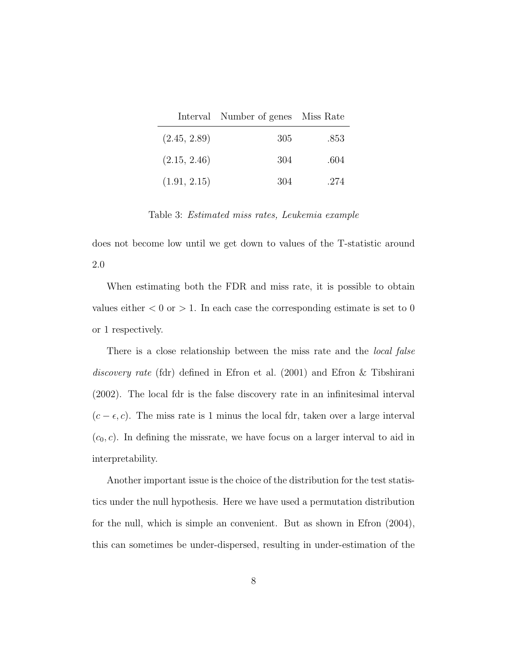|              | Interval Number of genes Miss Rate |      |
|--------------|------------------------------------|------|
| (2.45, 2.89) | 305                                | .853 |
| (2.15, 2.46) | 304                                | .604 |
| (1.91, 2.15) | 304                                | .274 |

Table 3: Estimated miss rates, Leukemia example

does not become low until we get down to values of the T-statistic around 2.0

When estimating both the FDR and miss rate, it is possible to obtain values either  $< 0$  or  $> 1$ . In each case the corresponding estimate is set to 0 or 1 respectively.

There is a close relationship between the miss rate and the *local false* discovery rate (fdr) defined in Efron et al. (2001) and Efron & Tibshirani (2002). The local fdr is the false discovery rate in an infinitesimal interval  $(c - \epsilon, c)$ . The miss rate is 1 minus the local fdr, taken over a large interval  $(c_0, c)$ . In defining the missrate, we have focus on a larger interval to aid in interpretability.

Another important issue is the choice of the distribution for the test statistics under the null hypothesis. Here we have used a permutation distribution for the null, which is simple an convenient. But as shown in Efron (2004), this can sometimes be under-dispersed, resulting in under-estimation of the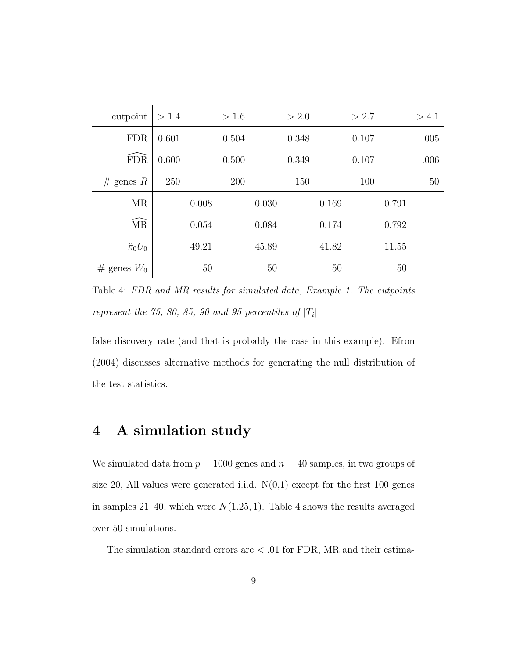| cutpoint          | > 1.4 |       | > 1.6 |       | > 2.0 |       | > 2.7 |       | > 4.1 |
|-------------------|-------|-------|-------|-------|-------|-------|-------|-------|-------|
| <b>FDR</b>        | 0.601 |       | 0.504 |       | 0.348 |       | 0.107 |       | .005  |
| <b>FDR</b>        | 0.600 |       | 0.500 |       | 0.349 |       | 0.107 |       | .006  |
| $#$ genes R       | 250   |       | 200   |       | 150   |       | 100   |       | 50    |
| <b>MR</b>         |       | 0.008 |       | 0.030 |       | 0.169 |       | 0.791 |       |
| MR                |       | 0.054 |       | 0.084 |       | 0.174 |       | 0.792 |       |
| $\hat{\pi}_0 U_0$ |       | 49.21 |       | 45.89 |       | 41.82 |       | 11.55 |       |
| # genes $W_0$     |       | 50    |       | 50    |       | 50    |       | 50    |       |

Table 4: FDR and MR results for simulated data, Example 1. The cutpoints represent the 75, 80, 85, 90 and 95 percentiles of  $|T_i|$ 

false discovery rate (and that is probably the case in this example). Efron (2004) discusses alternative methods for generating the null distribution of the test statistics.

#### 4 A simulation study

We simulated data from  $p = 1000$  genes and  $n = 40$  samples, in two groups of size 20, All values were generated i.i.d.  $N(0,1)$  except for the first 100 genes in samples 21–40, which were  $N(1.25, 1)$ . Table 4 shows the results averaged over 50 simulations.

The simulation standard errors are  $< .01$  for FDR, MR and their estima-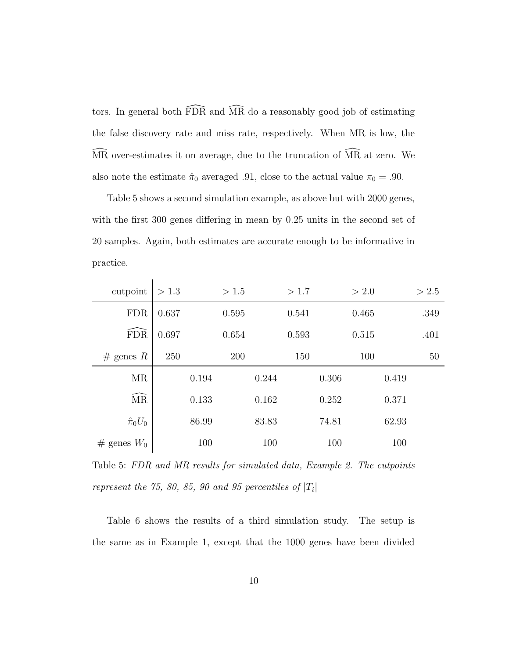tors. In general both  $\widehat{FDR}$  and  $\widehat{MR}$  do a reasonably good job of estimating the false discovery rate and miss rate, respectively. When MR is low, the MR over-estimates it on average, due to the truncation of MR at zero. We also note the estimate  $\hat{\pi}_0$  averaged .91, close to the actual value  $\pi_0 = .90$ .

Table 5 shows a second simulation example, as above but with 2000 genes, with the first 300 genes differing in mean by 0.25 units in the second set of 20 samples. Again, both estimates are accurate enough to be informative in practice.

| cutpoint          | > 1.3 |       | > 1.5 |       | >1.7  |       | > 2.0 |       | > 2.5 |
|-------------------|-------|-------|-------|-------|-------|-------|-------|-------|-------|
| <b>FDR</b>        | 0.637 |       | 0.595 |       | 0.541 |       | 0.465 |       | .349  |
| FDR               | 0.697 |       | 0.654 |       | 0.593 |       | 0.515 |       | .401  |
| $#$ genes R       | 250   |       | 200   |       | 150   |       | 100   |       | 50    |
| <b>MR</b>         |       | 0.194 |       | 0.244 |       | 0.306 |       | 0.419 |       |
| <b>MR</b>         |       | 0.133 |       | 0.162 |       | 0.252 |       | 0.371 |       |
| $\hat{\pi}_0 U_0$ |       | 86.99 |       | 83.83 |       | 74.81 |       | 62.93 |       |
| # genes $W_0$     |       | 100   |       | 100   |       | 100   |       | 100   |       |

Table 5: FDR and MR results for simulated data, Example 2. The cutpoints represent the 75, 80, 85, 90 and 95 percentiles of  $|T_i|$ 

Table 6 shows the results of a third simulation study. The setup is the same as in Example 1, except that the 1000 genes have been divided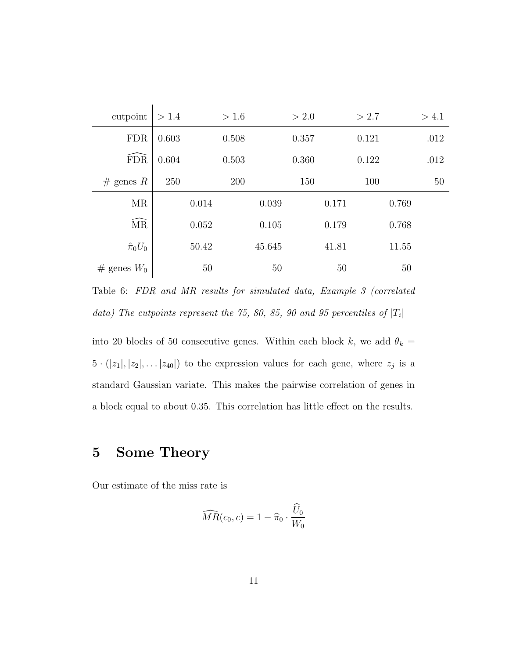| cutpoint          | > 1.4 |       | > 1.6 |        | > 2.0 |       | > 2.7 |       | > 4.1 |
|-------------------|-------|-------|-------|--------|-------|-------|-------|-------|-------|
| <b>FDR</b>        | 0.603 |       | 0.508 |        | 0.357 |       | 0.121 |       | .012  |
| <b>FDR</b>        | 0.604 |       | 0.503 |        | 0.360 |       | 0.122 |       | .012  |
| $#$ genes R       | 250   |       | 200   |        | 150   |       | 100   |       | 50    |
| <b>MR</b>         |       | 0.014 |       | 0.039  |       | 0.171 |       | 0.769 |       |
| <b>MR</b>         |       | 0.052 |       | 0.105  |       | 0.179 |       | 0.768 |       |
| $\hat{\pi}_0 U_0$ |       | 50.42 |       | 45.645 |       | 41.81 |       | 11.55 |       |
| # genes $W_0$     |       | 50    |       | 50     |       | 50    |       | 50    |       |

Table 6: FDR and MR results for simulated data, Example 3 (correlated data) The cutpoints represent the 75, 80, 85, 90 and 95 percentiles of  $|T_i|$ 

into 20 blocks of 50 consecutive genes. Within each block k, we add  $\theta_k =$  $5 \cdot (|z_1|, |z_2|, \ldots |z_{40}|)$  to the expression values for each gene, where  $z_j$  is a standard Gaussian variate. This makes the pairwise correlation of genes in a block equal to about 0.35. This correlation has little effect on the results.

### 5 Some Theory

Our estimate of the miss rate is

$$
\widehat{MR}(c_0, c) = 1 - \widehat{\pi}_0 \cdot \frac{\widehat{U}_0}{W_0}
$$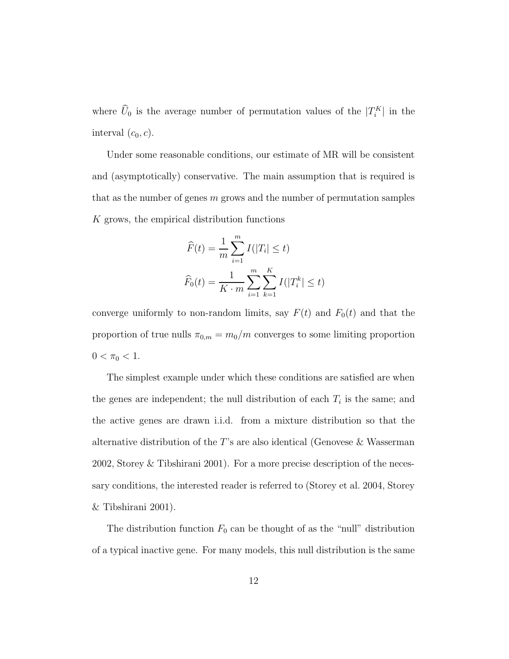where  $\hat{U}_0$  is the average number of permutation values of the  $|T_i^K|$  in the interval  $(c_0, c)$ .

Under some reasonable conditions, our estimate of MR will be consistent and (asymptotically) conservative. The main assumption that is required is that as the number of genes  $m$  grows and the number of permutation samples K grows, the empirical distribution functions

$$
\widehat{F}(t) = \frac{1}{m} \sum_{i=1}^{m} I(|T_i| \le t)
$$

$$
\widehat{F}_0(t) = \frac{1}{K \cdot m} \sum_{i=1}^{m} \sum_{k=1}^{K} I(|T_i^k| \le t)
$$

converge uniformly to non-random limits, say  $F(t)$  and  $F_0(t)$  and that the proportion of true nulls  $\pi_{0,m} = m_0/m$  converges to some limiting proportion  $0 < \pi_0 < 1$ .

The simplest example under which these conditions are satisfied are when the genes are independent; the null distribution of each  $T_i$  is the same; and the active genes are drawn i.i.d. from a mixture distribution so that the alternative distribution of the T's are also identical (Genovese  $\&$  Wasserman 2002, Storey & Tibshirani 2001). For a more precise description of the necessary conditions, the interested reader is referred to (Storey et al. 2004, Storey & Tibshirani 2001).

The distribution function  $F_0$  can be thought of as the "null" distribution of a typical inactive gene. For many models, this null distribution is the same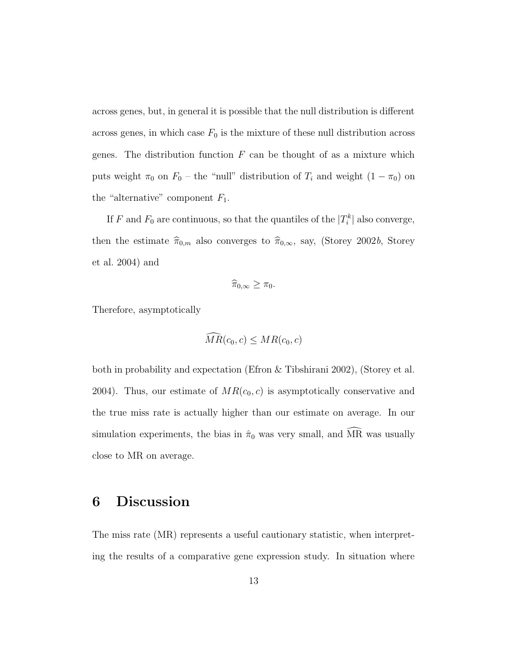across genes, but, in general it is possible that the null distribution is different across genes, in which case  $F_0$  is the mixture of these null distribution across genes. The distribution function  $F$  can be thought of as a mixture which puts weight  $\pi_0$  on  $F_0$  – the "null" distribution of  $T_i$  and weight  $(1 - \pi_0)$  on the "alternative" component  $F_1$ .

If F and  $F_0$  are continuous, so that the quantiles of the  $|T_i^k|$  also converge, then the estimate  $\hat{\pi}_{0,m}$  also converges to  $\hat{\pi}_{0,\infty}$ , say, (Storey 2002b, Storey et al. 2004) and

$$
\widehat{\pi}_{0,\infty}\geq \pi_0.
$$

Therefore, asymptotically

$$
\widehat{MR}(c_0, c) \leq MR(c_0, c)
$$

both in probability and expectation (Efron & Tibshirani 2002), (Storey et al. 2004). Thus, our estimate of  $MR(c_0, c)$  is asymptotically conservative and the true miss rate is actually higher than our estimate on average. In our simulation experiments, the bias in  $\hat{\pi}_0$  was very small, and  $\widehat{MR}$  was usually close to MR on average.

#### 6 Discussion

The miss rate (MR) represents a useful cautionary statistic, when interpreting the results of a comparative gene expression study. In situation where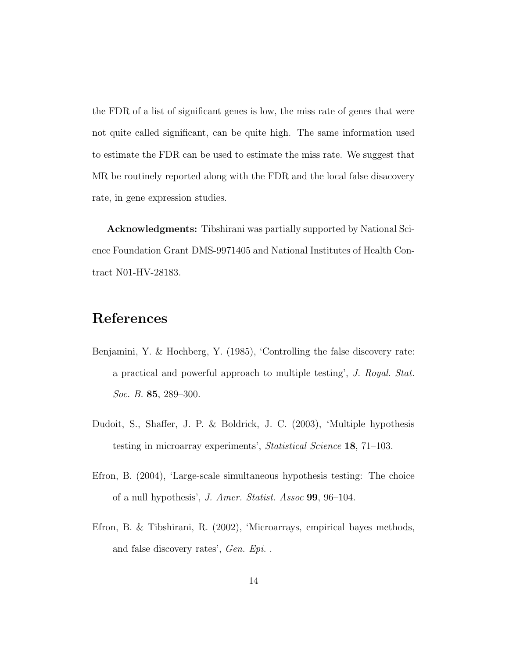the FDR of a list of significant genes is low, the miss rate of genes that were not quite called significant, can be quite high. The same information used to estimate the FDR can be used to estimate the miss rate. We suggest that MR be routinely reported along with the FDR and the local false disacovery rate, in gene expression studies.

Acknowledgments: Tibshirani was partially supported by National Science Foundation Grant DMS-9971405 and National Institutes of Health Contract N01-HV-28183.

#### References

- Benjamini, Y. & Hochberg, Y. (1985), 'Controlling the false discovery rate: a practical and powerful approach to multiple testing', J. Royal. Stat. Soc. B. **85**, 289–300.
- Dudoit, S., Shaffer, J. P. & Boldrick, J. C. (2003), 'Multiple hypothesis testing in microarray experiments', Statistical Science 18, 71–103.
- Efron, B. (2004), 'Large-scale simultaneous hypothesis testing: The choice of a null hypothesis', J. Amer. Statist. Assoc 99, 96–104.
- Efron, B. & Tibshirani, R. (2002), 'Microarrays, empirical bayes methods, and false discovery rates', Gen. Epi. .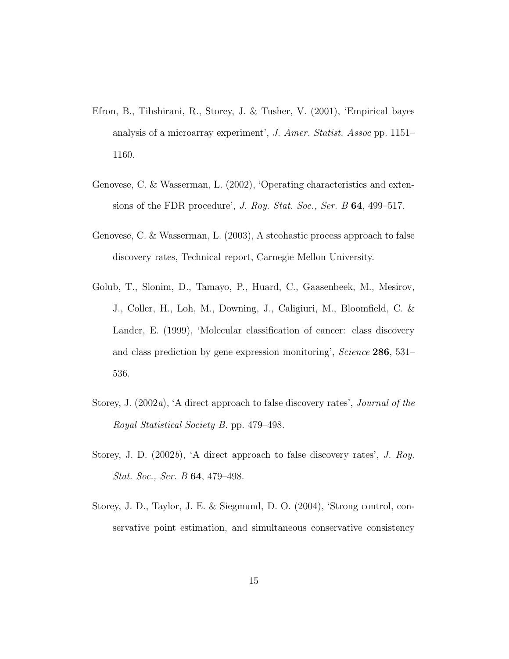- Efron, B., Tibshirani, R., Storey, J. & Tusher, V. (2001), 'Empirical bayes analysis of a microarray experiment', J. Amer. Statist. Assoc pp. 1151– 1160.
- Genovese, C. & Wasserman, L. (2002), 'Operating characteristics and extensions of the FDR procedure', J. Roy. Stat. Soc., Ser. B 64, 499–517.
- Genovese, C. & Wasserman, L. (2003), A stcohastic process approach to false discovery rates, Technical report, Carnegie Mellon University.
- Golub, T., Slonim, D., Tamayo, P., Huard, C., Gaasenbeek, M., Mesirov, J., Coller, H., Loh, M., Downing, J., Caligiuri, M., Bloomfield, C. & Lander, E. (1999), 'Molecular classification of cancer: class discovery and class prediction by gene expression monitoring', Science 286, 531– 536.
- Storey, J. (2002a), 'A direct approach to false discovery rates', Journal of the Royal Statistical Society B. pp. 479–498.
- Storey, J. D.  $(2002b)$ , 'A direct approach to false discovery rates', J. Roy. Stat. Soc., Ser. B 64, 479–498.
- Storey, J. D., Taylor, J. E. & Siegmund, D. O. (2004), 'Strong control, conservative point estimation, and simultaneous conservative consistency